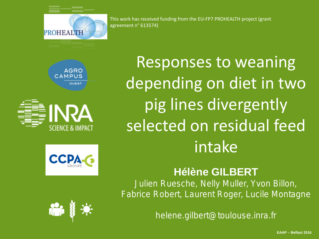

This work has received funding from the EU-FP7 PROHEALTH project (grant agreement n° 613574)







Responses to weaning depending on diet in two pig lines divergently selected on residual feed intake

### **Hélène GILBERT**

Julien Ruesche, Nelly Muller, Yvon Billon, Fabrice Robert, Laurent Roger, Lucile Montagne



helene.gilbert@toulouse.inra.fr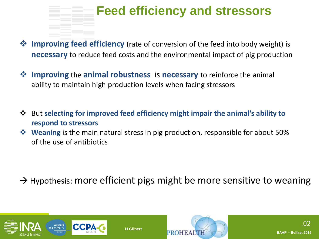### **Feed efficiency and stressors**

- **<sup>◆</sup> Improving feed efficiency** (rate of conversion of the feed into body weight) is **necessary** to reduce feed costs and the environmental impact of pig production
- **Improving** the **animal robustness** is **necessary** to reinforce the animal ability to maintain high production levels when facing stressors
- But **selecting for improved feed efficiency might impair the animal's ability to respond to stressors**
- **Weaning** is the main natural stress in pig production, responsible for about 50% of the use of antibiotics

**H Gilbert**

 $\rightarrow$  Hypothesis: more efficient pigs might be more sensitive to weaning



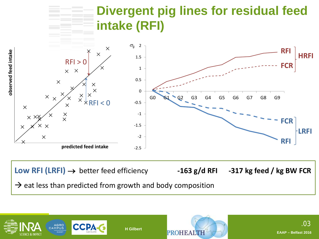### **Divergent pig lines for residual feed intake (RFI)**



**Low RFI (LRFI)** → better feed efficiency **-163 g/d RFI -317 kg feed / kg BW FCR**  $\rightarrow$  eat less than predicted from growth and body composition



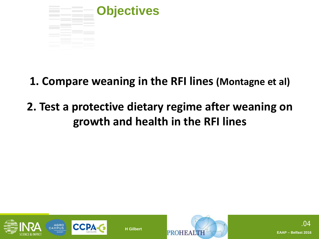

**1. Compare weaning in the RFI lines (Montagne et al)**

## **2. Test a protective dietary regime after weaning on growth and health in the RFI lines**



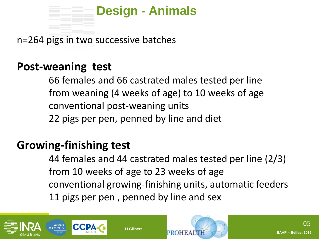

n=264 pigs in two successive batches

### **Post-weaning test**

66 females and 66 castrated males tested per line from weaning (4 weeks of age) to 10 weeks of age conventional post-weaning units 22 pigs per pen, penned by line and diet

### **Growing-finishing test**

44 females and 44 castrated males tested per line (2/3) from 10 weeks of age to 23 weeks of age conventional growing-finishing units, automatic feeders 11 pigs per pen , penned by line and sex

PROHE

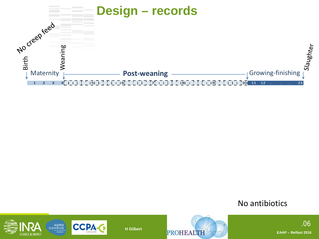

No antibiotics





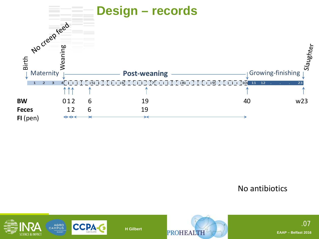

No antibiotics





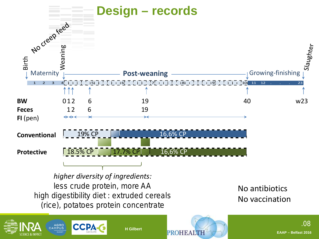

**H Gilbert**



**PROHEALT**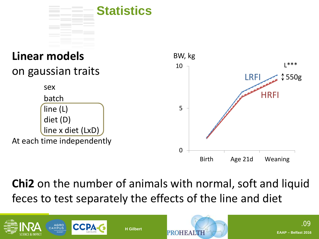

#### **Linear models** on gaussian traits sex batch line (L) diet (D) line x diet (LxD) At each time independently 0 5 10 Birth Age 21d Weaning LRFI **HRFI** L\*\*\* 550g BW, kg

**Chi2** on the number of animals with normal, soft and liquid feces to test separately the effects of the line and diet



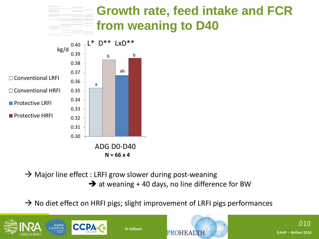### **Growth rate, feed intake and FCR from weaning to D40**



**N = 66 x 4**

### $\rightarrow$  Major line effect : LRFI grow slower during post-weaning

 $\rightarrow$  at weaning + 40 days, no line difference for BW

 $\rightarrow$  No diet effect on HRFI pigs; slight improvement of LRFI pigs performances



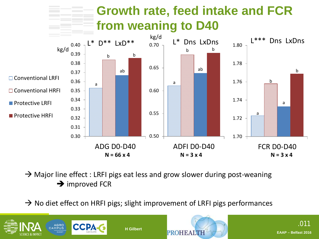

 $\rightarrow$  Major line effect : LRFI pigs eat less and grow slower during post-weaning  $\rightarrow$  improved FCR

 $\rightarrow$  No diet effect on HRFI pigs; slight improvement of LRFI pigs performances



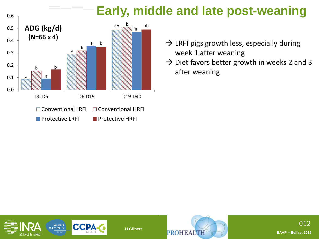# **Early, middle and late post-weaning**



- $\rightarrow$  LRFI pigs growth less, especially during week 1 after weaning
- $\rightarrow$  Diet favors better growth in weeks 2 and 3 after weaning



0.6



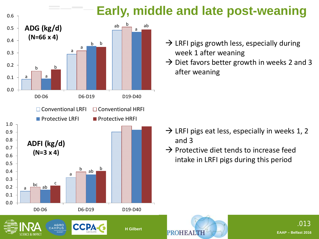# **Early, middle and late post-weaning**



- $\rightarrow$  LRFI pigs growth less, especially during week 1 after weaning
- $\rightarrow$  Diet favors better growth in weeks 2 and 3 after weaning

- $\rightarrow$  LRFI pigs eat less, especially in weeks 1, 2 and 3
- $\rightarrow$  Protective diet tends to increase feed intake in LRFI pigs during this period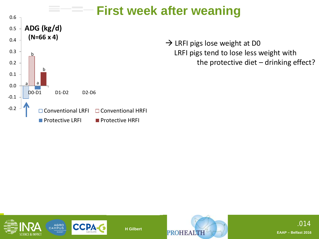



 $\rightarrow$  LRFI pigs lose weight at D0 LRFI pigs tend to lose less weight with the protective diet – drinking effect?



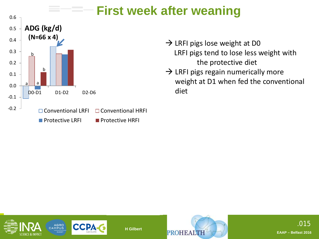



- LRFI pigs tend to lose less weight with the protective diet
- $\rightarrow$  LRFI pigs regain numerically more weight at D1 when fed the conventional diet



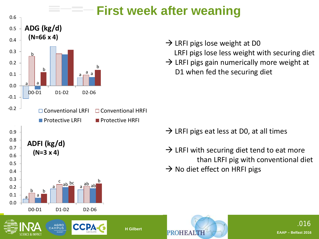

AGRO<br>CAMPUS

**CCP** 

# **First week after weaning**

- LRFI pigs lose less weight with securing diet
- $\rightarrow$  LRFI pigs gain numerically more weight at D1 when fed the securing diet

- $\rightarrow$  LRFI pigs eat less at D0, at all times
- $\rightarrow$  LRFI with securing diet tend to eat more than LRFI pig with conventional diet  $\rightarrow$  No diet effect on HRFI pigs

**PROHEAL**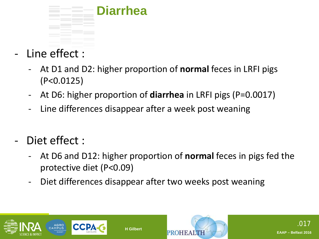

- Line effect :
	- At D1 and D2: higher proportion of **normal** feces in LRFI pigs (P<0.0125)
	- At D6: higher proportion of **diarrhea** in LRFI pigs (P=0.0017)
	- Line differences disappear after a week post weaning
- Diet effect :
	- At D6 and D12: higher proportion of **normal** feces in pigs fed the protective diet (P<0.09)
	- Diet differences disappear after two weeks post weaning



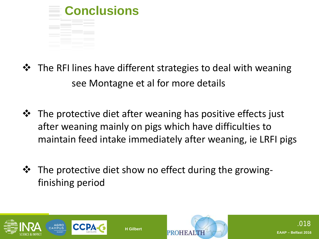

- $\mathbf{\hat{P}}$  The RFI lines have different strategies to deal with weaning see Montagne et al for more details
- **\*** The protective diet after weaning has positive effects just after weaning mainly on pigs which have difficulties to maintain feed intake immediately after weaning, ie LRFI pigs
- **\*** The protective diet show no effect during the growingfinishing period



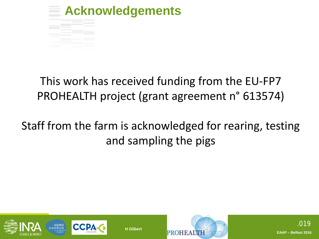

### This work has received funding from the EU-FP7 PROHEALTH project (grant agreement n° 613574)

## Staff from the farm is acknowledged for rearing, testing and sampling the pigs



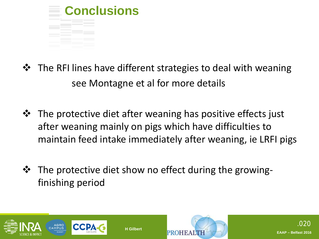

- $\mathbf{\hat{P}}$  The RFI lines have different strategies to deal with weaning see Montagne et al for more details
- **\*** The protective diet after weaning has positive effects just after weaning mainly on pigs which have difficulties to maintain feed intake immediately after weaning, ie LRFI pigs
- **\*** The protective diet show no effect during the growingfinishing period



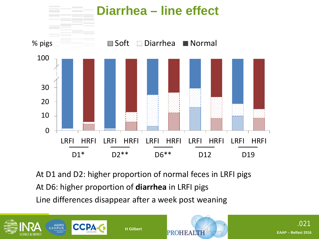

At D1 and D2: higher proportion of normal feces in LRFI pigs At D6: higher proportion of **diarrhea** in LRFI pigs Line differences disappear after a week post weaning



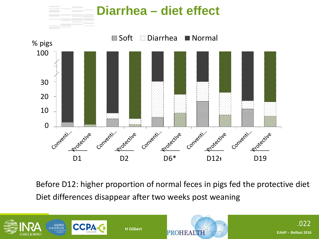

Before D12: higher proportion of normal feces in pigs fed the protective diet Diet differences disappear after two weeks post weaning